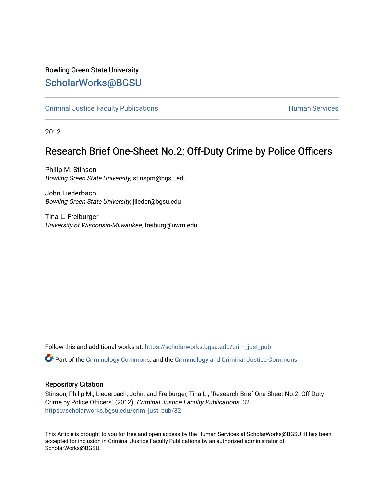## Bowling Green State University

## [ScholarWorks@BGSU](https://scholarworks.bgsu.edu/)

[Criminal Justice Faculty Publications](https://scholarworks.bgsu.edu/crim_just_pub) **Exercise Services** Human Services

2012

## Research Brief One-Sheet No.2: Off-Duty Crime by Police Officers

Philip M. Stinson Bowling Green State University, stinspm@bgsu.edu

John Liederbach Bowling Green State University, jlieder@bgsu.edu

Tina L. Freiburger University of Wisconsin-Milwaukee, freiburg@uwm.edu

Follow this and additional works at: [https://scholarworks.bgsu.edu/crim\\_just\\_pub](https://scholarworks.bgsu.edu/crim_just_pub?utm_source=scholarworks.bgsu.edu%2Fcrim_just_pub%2F32&utm_medium=PDF&utm_campaign=PDFCoverPages) 

Part of the [Criminology Commons](http://network.bepress.com/hgg/discipline/417?utm_source=scholarworks.bgsu.edu%2Fcrim_just_pub%2F32&utm_medium=PDF&utm_campaign=PDFCoverPages), and the [Criminology and Criminal Justice Commons](http://network.bepress.com/hgg/discipline/367?utm_source=scholarworks.bgsu.edu%2Fcrim_just_pub%2F32&utm_medium=PDF&utm_campaign=PDFCoverPages)

#### Repository Citation

Stinson, Philip M.; Liederbach, John; and Freiburger, Tina L., "Research Brief One-Sheet No.2: Off-Duty Crime by Police Officers" (2012). Criminal Justice Faculty Publications. 32. [https://scholarworks.bgsu.edu/crim\\_just\\_pub/32](https://scholarworks.bgsu.edu/crim_just_pub/32?utm_source=scholarworks.bgsu.edu%2Fcrim_just_pub%2F32&utm_medium=PDF&utm_campaign=PDFCoverPages) 

This Article is brought to you for free and open access by the Human Services at ScholarWorks@BGSU. It has been accepted for inclusion in Criminal Justice Faculty Publications by an authorized administrator of ScholarWorks@BGSU.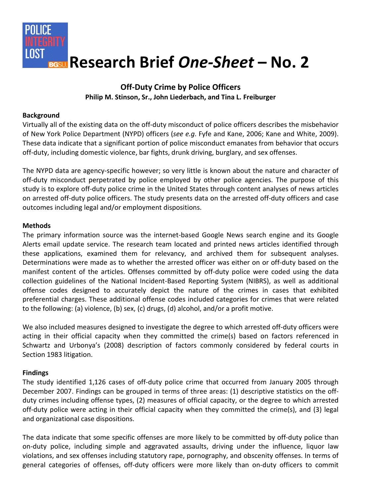

# **Off-Duty Crime by Police Officers**

### **Philip M. Stinson, Sr., John Liederbach, and Tina L. Freiburger**

#### **Background**

Virtually all of the existing data on the off-duty misconduct of police officers describes the misbehavior of New York Police Department (NYPD) officers (*see e.g*. Fyfe and Kane, 2006; Kane and White, 2009). These data indicate that a significant portion of police misconduct emanates from behavior that occurs off-duty, including domestic violence, bar fights, drunk driving, burglary, and sex offenses.

The NYPD data are agency-specific however; so very little is known about the nature and character of off-duty misconduct perpetrated by police employed by other police agencies. The purpose of this study is to explore off-duty police crime in the United States through content analyses of news articles on arrested off-duty police officers. The study presents data on the arrested off-duty officers and case outcomes including legal and/or employment dispositions.

#### **Methods**

The primary information source was the internet-based Google News search engine and its Google Alerts email update service. The research team located and printed news articles identified through these applications, examined them for relevancy, and archived them for subsequent analyses. Determinations were made as to whether the arrested officer was either on or off-duty based on the manifest content of the articles. Offenses committed by off-duty police were coded using the data collection guidelines of the National Incident-Based Reporting System (NIBRS), as well as additional offense codes designed to accurately depict the nature of the crimes in cases that exhibited preferential charges. These additional offense codes included categories for crimes that were related to the following: (a) violence, (b) sex, (c) drugs, (d) alcohol, and/or a profit motive.

We also included measures designed to investigate the degree to which arrested off-duty officers were acting in their official capacity when they committed the crime(s) based on factors referenced in Schwartz and Urbonya's (2008) description of factors commonly considered by federal courts in Section 1983 litigation.

#### **Findings**

The study identified 1,126 cases of off-duty police crime that occurred from January 2005 through December 2007. Findings can be grouped in terms of three areas: (1) descriptive statistics on the offduty crimes including offense types, (2) measures of official capacity, or the degree to which arrested off-duty police were acting in their official capacity when they committed the crime(s), and (3) legal and organizational case dispositions.

The data indicate that some specific offenses are more likely to be committed by off-duty police than on-duty police, including simple and aggravated assaults, driving under the influence, liquor law violations, and sex offenses including statutory rape, pornography, and obscenity offenses. In terms of general categories of offenses, off-duty officers were more likely than on-duty officers to commit